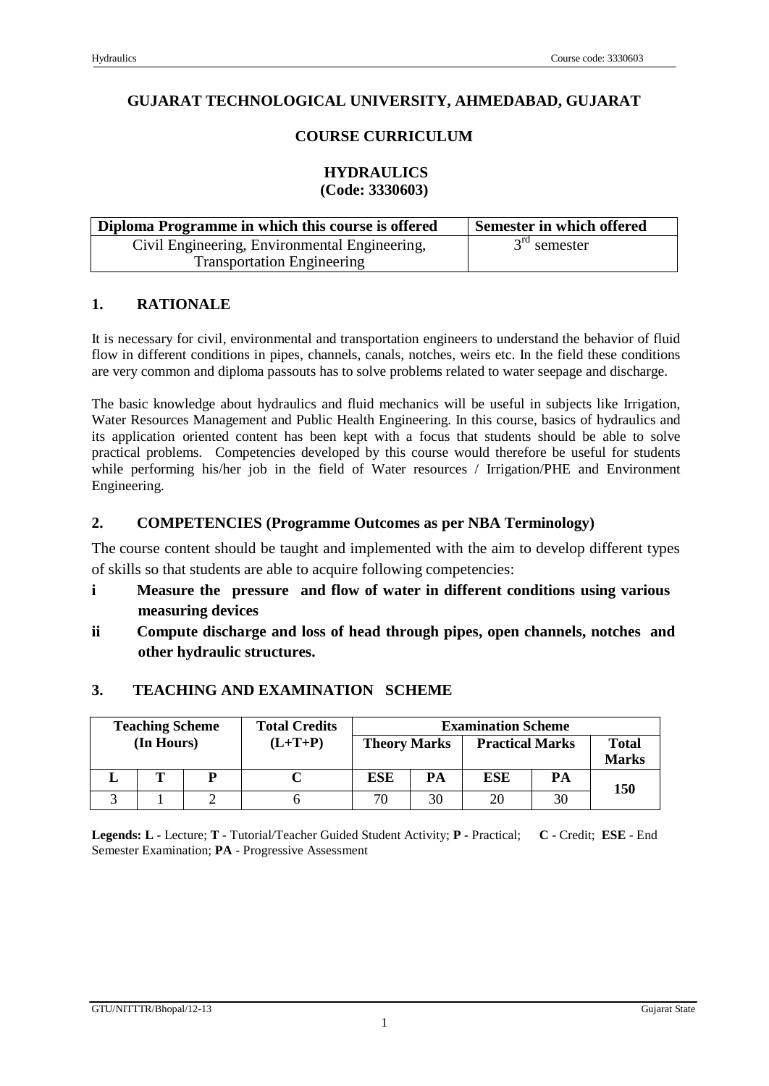## **GUJARAT TECHNOLOGICAL UNIVERSITY, AHMEDABAD, GUJARAT**

## **COURSE CURRICULUM**

#### **HYDRAULICS (Code: 3330603)**

| Diploma Programme in which this course is offered | Semester in which offered |
|---------------------------------------------------|---------------------------|
| Civil Engineering, Environmental Engineering,     | $3rd$ semester            |
| <b>Transportation Engineering</b>                 |                           |

### **1. RATIONALE**

It is necessary for civil, environmental and transportation engineers to understand the behavior of fluid flow in different conditions in pipes, channels, canals, notches, weirs etc. In the field these conditions are very common and diploma passouts has to solve problems related to water seepage and discharge.

The basic knowledge about hydraulics and fluid mechanics will be useful in subjects like Irrigation, Water Resources Management and Public Health Engineering. In this course, basics of hydraulics and its application oriented content has been kept with a focus that students should be able to solve practical problems. Competencies developed by this course would therefore be useful for students while performing his/her job in the field of Water resources / Irrigation/PHE and Environment Engineering.

### **2. COMPETENCIES (Programme Outcomes as per NBA Terminology)**

The course content should be taught and implemented with the aim to develop different types of skills so that students are able to acquire following competencies:

- **i Measure the pressure and flow of water in different conditions using various measuring devices**
- **ii Compute discharge and loss of head through pipes, open channels, notches and other hydraulic structures.**

## **3. TEACHING AND EXAMINATION SCHEME**

| <b>Teaching Scheme</b> |            | <b>Total Credits</b> | <b>Examination Scheme</b> |                     |    |                        |    |                              |
|------------------------|------------|----------------------|---------------------------|---------------------|----|------------------------|----|------------------------------|
|                        | (In Hours) |                      | $(L+T+P)$                 | <b>Theory Marks</b> |    | <b>Practical Marks</b> |    | <b>Total</b><br><b>Marks</b> |
|                        | Т          | P                    |                           | <b>ESE</b>          | PA | ESE                    | PА | 150                          |
|                        |            |                      |                           | 70                  | 30 | 20                     | 30 |                              |

**Legends: L -** Lecture; **T -** Tutorial/Teacher Guided Student Activity; **P -** Practical; **C -** Credit; **ESE** - End Semester Examination; **PA** - Progressive Assessment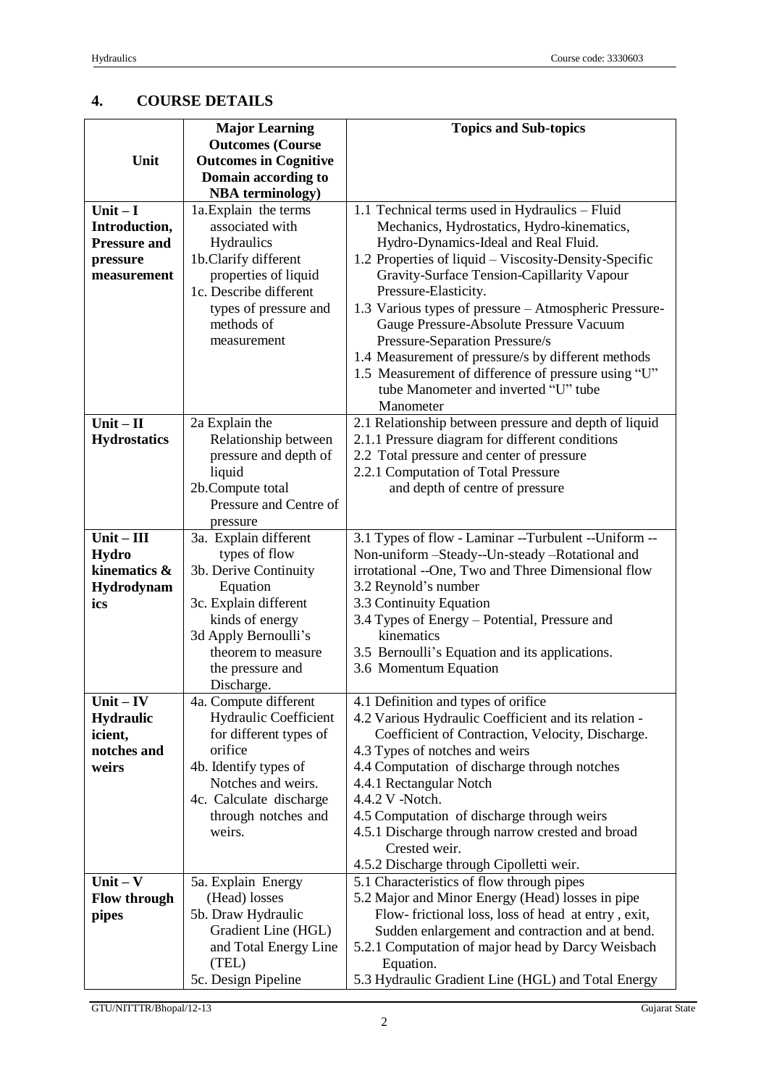# **4. COURSE DETAILS**

|                     | <b>Major Learning</b>         | <b>Topics and Sub-topics</b>                                                                   |
|---------------------|-------------------------------|------------------------------------------------------------------------------------------------|
|                     | <b>Outcomes (Course</b>       |                                                                                                |
| Unit                | <b>Outcomes in Cognitive</b>  |                                                                                                |
|                     | Domain according to           |                                                                                                |
|                     | <b>NBA</b> terminology)       |                                                                                                |
| Unit $-I$           | 1a. Explain the terms         | 1.1 Technical terms used in Hydraulics - Fluid                                                 |
|                     | associated with               |                                                                                                |
| Introduction,       |                               | Mechanics, Hydrostatics, Hydro-kinematics,                                                     |
| <b>Pressure and</b> | Hydraulics                    | Hydro-Dynamics-Ideal and Real Fluid.                                                           |
| pressure            | 1b.Clarify different          | 1.2 Properties of liquid – Viscosity-Density-Specific                                          |
| measurement         | properties of liquid          | Gravity-Surface Tension-Capillarity Vapour                                                     |
|                     | 1c. Describe different        | Pressure-Elasticity.                                                                           |
|                     | types of pressure and         | 1.3 Various types of pressure - Atmospheric Pressure-                                          |
|                     | methods of                    | Gauge Pressure-Absolute Pressure Vacuum                                                        |
|                     | measurement                   | Pressure-Separation Pressure/s                                                                 |
|                     |                               | 1.4 Measurement of pressure/s by different methods                                             |
|                     |                               | 1.5 Measurement of difference of pressure using "U"                                            |
|                     |                               | tube Manometer and inverted "U" tube                                                           |
|                     |                               | Manometer                                                                                      |
| $Unit - II$         | 2a Explain the                | 2.1 Relationship between pressure and depth of liquid                                          |
| <b>Hydrostatics</b> | Relationship between          | 2.1.1 Pressure diagram for different conditions                                                |
|                     | pressure and depth of         | 2.2 Total pressure and center of pressure                                                      |
|                     | liquid                        | 2.2.1 Computation of Total Pressure                                                            |
|                     | 2b.Compute total              | and depth of centre of pressure                                                                |
|                     | Pressure and Centre of        |                                                                                                |
|                     | pressure                      |                                                                                                |
| $Unit - III$        | 3a. Explain different         | 3.1 Types of flow - Laminar --Turbulent --Uniform --                                           |
| <b>Hydro</b>        | types of flow                 | Non-uniform-Steady--Un-steady-Rotational and                                                   |
| kinematics &        | 3b. Derive Continuity         | irrotational --One, Two and Three Dimensional flow                                             |
| Hydrodynam          | Equation                      | 3.2 Reynold's number                                                                           |
| ics                 | 3c. Explain different         | 3.3 Continuity Equation                                                                        |
|                     | kinds of energy               | 3.4 Types of Energy – Potential, Pressure and                                                  |
|                     | 3d Apply Bernoulli's          | kinematics                                                                                     |
|                     | theorem to measure            | 3.5 Bernoulli's Equation and its applications.                                                 |
|                     | the pressure and              | 3.6 Momentum Equation                                                                          |
|                     | Discharge.                    |                                                                                                |
| $Unit - IV$         | 4a. Compute different         | 4.1 Definition and types of orifice                                                            |
| <b>Hydraulic</b>    | <b>Hydraulic Coefficient</b>  | 4.2 Various Hydraulic Coefficient and its relation -                                           |
| icient,             | for different types of        | Coefficient of Contraction, Velocity, Discharge.                                               |
| notches and         | orifice                       | 4.3 Types of notches and weirs                                                                 |
| weirs               | 4b. Identify types of         | 4.4 Computation of discharge through notches                                                   |
|                     | Notches and weirs.            | 4.4.1 Rectangular Notch                                                                        |
|                     |                               | 4.4.2 V -Notch.                                                                                |
|                     | 4c. Calculate discharge       |                                                                                                |
|                     | through notches and<br>weirs. | 4.5 Computation of discharge through weirs<br>4.5.1 Discharge through narrow crested and broad |
|                     |                               |                                                                                                |
|                     |                               | Crested weir.                                                                                  |
|                     |                               | 4.5.2 Discharge through Cipolletti weir.                                                       |
| $Unit - V$          | 5a. Explain Energy            | 5.1 Characteristics of flow through pipes                                                      |
| <b>Flow through</b> | (Head) losses                 | 5.2 Major and Minor Energy (Head) losses in pipe                                               |
| pipes               | 5b. Draw Hydraulic            | Flow-frictional loss, loss of head at entry, exit,                                             |
|                     | Gradient Line (HGL)           | Sudden enlargement and contraction and at bend.                                                |
|                     | and Total Energy Line         | 5.2.1 Computation of major head by Darcy Weisbach                                              |
|                     | (TEL)                         | Equation.                                                                                      |
|                     | 5c. Design Pipeline           | 5.3 Hydraulic Gradient Line (HGL) and Total Energy                                             |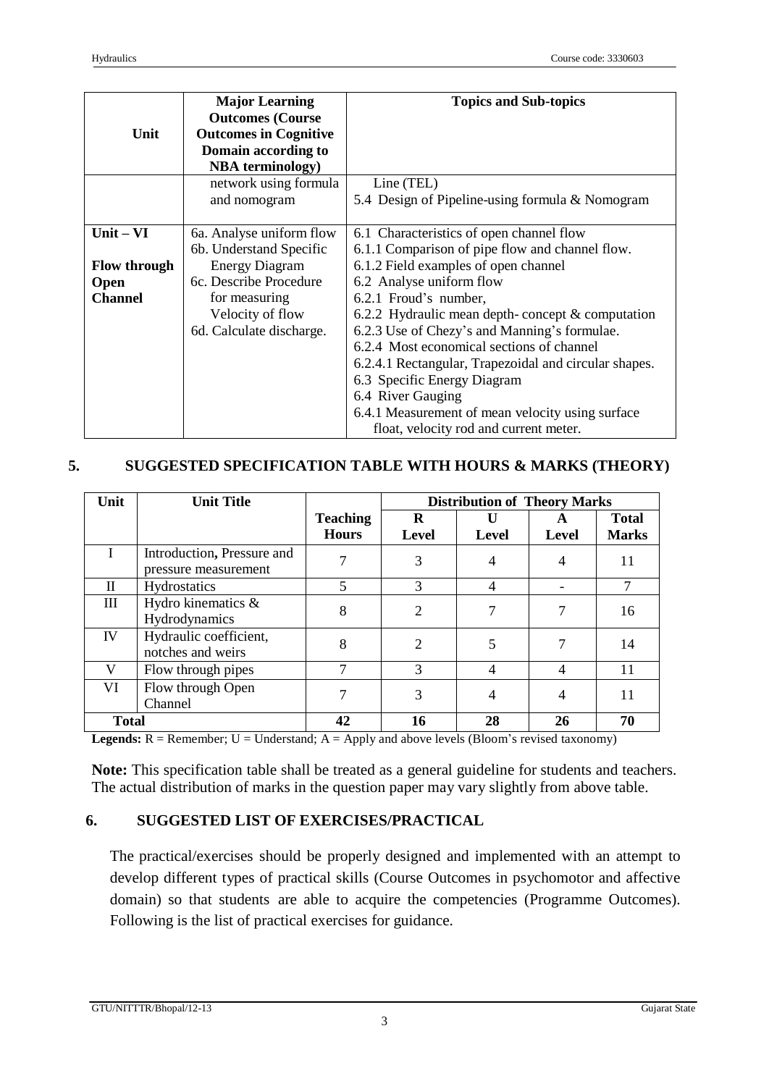| Unit                                                         | <b>Major Learning</b><br><b>Outcomes (Course)</b><br><b>Outcomes in Cognitive</b><br>Domain according to<br><b>NBA</b> terminology)                                     | <b>Topics and Sub-topics</b>                                                                                                                                                                                                                                                                                                                                                                                                                                                                                                                           |  |
|--------------------------------------------------------------|-------------------------------------------------------------------------------------------------------------------------------------------------------------------------|--------------------------------------------------------------------------------------------------------------------------------------------------------------------------------------------------------------------------------------------------------------------------------------------------------------------------------------------------------------------------------------------------------------------------------------------------------------------------------------------------------------------------------------------------------|--|
|                                                              | network using formula<br>and nomogram                                                                                                                                   | Line (TEL)<br>5.4 Design of Pipeline-using formula & Nomogram                                                                                                                                                                                                                                                                                                                                                                                                                                                                                          |  |
| $Unit - VI$<br><b>Flow through</b><br>Open<br><b>Channel</b> | 6a. Analyse uniform flow<br>6b. Understand Specific<br><b>Energy Diagram</b><br>6c. Describe Procedure<br>for measuring<br>Velocity of flow<br>6d. Calculate discharge. | 6.1 Characteristics of open channel flow<br>6.1.1 Comparison of pipe flow and channel flow.<br>6.1.2 Field examples of open channel<br>6.2 Analyse uniform flow<br>6.2.1 Froud's number,<br>6.2.2 Hydraulic mean depth-concept $&$ computation<br>6.2.3 Use of Chezy's and Manning's formulae.<br>6.2.4 Most economical sections of channel<br>6.2.4.1 Rectangular, Trapezoidal and circular shapes.<br>6.3 Specific Energy Diagram<br>6.4 River Gauging<br>6.4.1 Measurement of mean velocity using surface<br>float, velocity rod and current meter. |  |

# **5. SUGGESTED SPECIFICATION TABLE WITH HOURS & MARKS (THEORY)**

| Unit         | <b>Unit Title</b>                                  |                                 | <b>Distribution of Theory Marks</b> |                |            |                              |
|--------------|----------------------------------------------------|---------------------------------|-------------------------------------|----------------|------------|------------------------------|
|              |                                                    | <b>Teaching</b><br><b>Hours</b> | R<br>Level                          | <b>Level</b>   | A<br>Level | <b>Total</b><br><b>Marks</b> |
|              | Introduction, Pressure and<br>pressure measurement |                                 | 3                                   | 4              | 4          | 11                           |
| $\mathbf H$  | Hydrostatics                                       | 5                               | $\mathcal{R}$                       | 4              |            | 7                            |
| III          | Hydro kinematics &<br>Hydrodynamics                | 8                               | $\mathcal{D}_{\mathcal{L}}$         |                |            | 16                           |
| IV           | Hydraulic coefficient,<br>notches and weirs        | 8                               | $\mathcal{D}_{\mathcal{L}}$         | 5              |            | 14                           |
| V            | Flow through pipes                                 | 7                               | 3                                   | $\overline{4}$ | 4          | 11                           |
| VI           | Flow through Open<br>Channel                       |                                 | 3                                   | 4              | 4          | 11                           |
| <b>Total</b> |                                                    | 42                              | 70<br>16<br>28<br>26                |                |            |                              |

Legends: R = Remember; U = Understand; A = Apply and above levels (Bloom's revised taxonomy)

**Note:** This specification table shall be treated as a general guideline for students and teachers. The actual distribution of marks in the question paper may vary slightly from above table.

# **6. SUGGESTED LIST OF EXERCISES/PRACTICAL**

The practical/exercises should be properly designed and implemented with an attempt to develop different types of practical skills (Course Outcomes in psychomotor and affective domain) so that students are able to acquire the competencies (Programme Outcomes). Following is the list of practical exercises for guidance.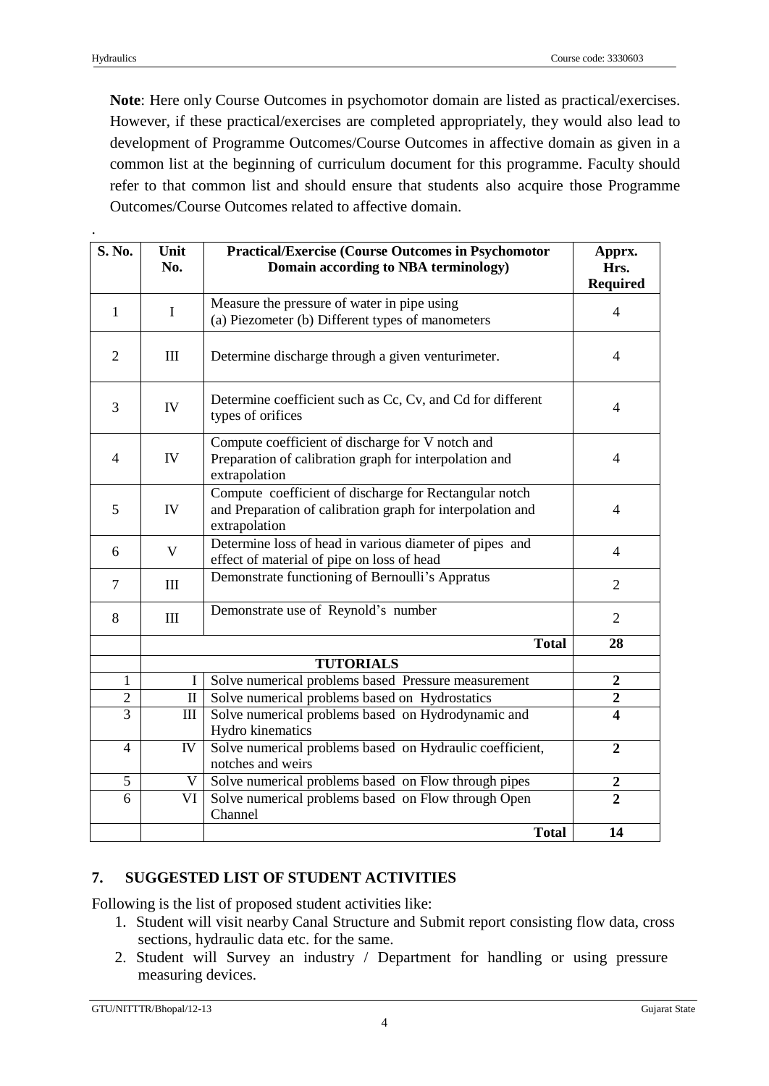.

**Note**: Here only Course Outcomes in psychomotor domain are listed as practical/exercises. However, if these practical/exercises are completed appropriately, they would also lead to development of Programme Outcomes/Course Outcomes in affective domain as given in a common list at the beginning of curriculum document for this programme. Faculty should refer to that common list and should ensure that students also acquire those Programme Outcomes/Course Outcomes related to affective domain.

| S. No.         | Unit<br>No.                                                                         | <b>Practical/Exercise (Course Outcomes in Psychomotor</b><br>Domain according to NBA terminology)                                     | Apprx.<br>Hrs.<br><b>Required</b> |
|----------------|-------------------------------------------------------------------------------------|---------------------------------------------------------------------------------------------------------------------------------------|-----------------------------------|
| $\mathbf{1}$   | $\mathbf I$                                                                         | Measure the pressure of water in pipe using<br>(a) Piezometer (b) Different types of manometers                                       | $\overline{4}$                    |
| $\overline{2}$ | $\rm III$                                                                           | Determine discharge through a given venturimeter.                                                                                     | $\overline{4}$                    |
| 3              | IV                                                                                  | Determine coefficient such as Cc, Cv, and Cd for different<br>types of orifices                                                       | $\overline{4}$                    |
| $\overline{4}$ | ${\rm IV}$                                                                          | Compute coefficient of discharge for V notch and<br>Preparation of calibration graph for interpolation and<br>extrapolation           | $\overline{4}$                    |
| 5              | IV                                                                                  | Compute coefficient of discharge for Rectangular notch<br>and Preparation of calibration graph for interpolation and<br>extrapolation | $\overline{4}$                    |
| 6              | $\mathbf{V}$                                                                        | Determine loss of head in various diameter of pipes and<br>effect of material of pipe on loss of head                                 | $\overline{4}$                    |
| $\overline{7}$ | III                                                                                 | Demonstrate functioning of Bernoulli's Appratus                                                                                       | $\overline{2}$                    |
| 8              | III                                                                                 | Demonstrate use of Reynold's number                                                                                                   |                                   |
|                |                                                                                     | <b>Total</b>                                                                                                                          | 28                                |
|                |                                                                                     | <b>TUTORIALS</b>                                                                                                                      |                                   |
| 1              |                                                                                     | Solve numerical problems based Pressure measurement                                                                                   | $\boldsymbol{2}$                  |
| $\overline{2}$ | $\mathbf{I}$                                                                        | Solve numerical problems based on Hydrostatics                                                                                        |                                   |
| $\overline{3}$ | III                                                                                 | Solve numerical problems based on Hydrodynamic and                                                                                    |                                   |
|                | Hydro kinematics                                                                    |                                                                                                                                       |                                   |
| $\overline{4}$ | Solve numerical problems based on Hydraulic coefficient,<br>IV<br>notches and weirs |                                                                                                                                       | $\overline{2}$                    |
| $\mathfrak{S}$ | V                                                                                   | Solve numerical problems based on Flow through pipes<br>$\boldsymbol{2}$                                                              |                                   |
| $\overline{6}$ | VI                                                                                  | Solve numerical problems based on Flow through Open<br>Channel                                                                        |                                   |
|                |                                                                                     | <b>Total</b>                                                                                                                          | 14                                |

# **7. SUGGESTED LIST OF STUDENT ACTIVITIES**

Following is the list of proposed student activities like:

- 1. Student will visit nearby Canal Structure and Submit report consisting flow data, cross sections, hydraulic data etc. for the same.
- 2. Student will Survey an industry / Department for handling or using pressure measuring devices.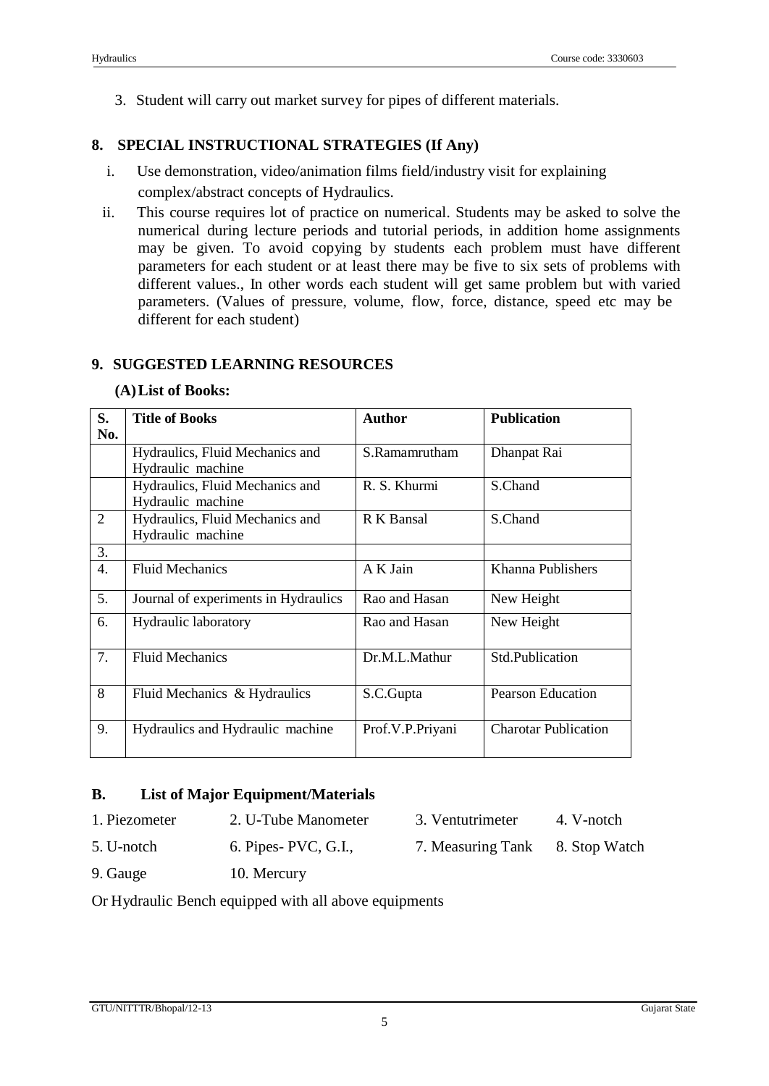3. Student will carry out market survey for pipes of different materials.

## **8. SPECIAL INSTRUCTIONAL STRATEGIES (If Any)**

- i. Use demonstration, video/animation films field/industry visit for explaining complex/abstract concepts of Hydraulics.
- ii. This course requires lot of practice on numerical. Students may be asked to solve the numerical during lecture periods and tutorial periods, in addition home assignments may be given. To avoid copying by students each problem must have different parameters for each student or at least there may be five to six sets of problems with different values., In other words each student will get same problem but with varied parameters. (Values of pressure, volume, flow, force, distance, speed etc may be different for each student)

### **9. SUGGESTED LEARNING RESOURCES**

### **(A)List of Books:**

| S.<br>No.        | <b>Title of Books</b>                                | Author           | <b>Publication</b>          |
|------------------|------------------------------------------------------|------------------|-----------------------------|
|                  | Hydraulics, Fluid Mechanics and<br>Hydraulic machine | S.Ramamrutham    | Dhanpat Rai                 |
|                  | Hydraulics, Fluid Mechanics and<br>Hydraulic machine | R. S. Khurmi     | S.Chand                     |
| $\overline{2}$   | Hydraulics, Fluid Mechanics and<br>Hydraulic machine | R K Bansal       | S.Chand                     |
| 3.               |                                                      |                  |                             |
| $\overline{4}$ . | <b>Fluid Mechanics</b>                               | A K Jain         | Khanna Publishers           |
| 5.               | Journal of experiments in Hydraulics                 | Rao and Hasan    | New Height                  |
| 6.               | <b>Hydraulic laboratory</b>                          | Rao and Hasan    | New Height                  |
| 7.               | <b>Fluid Mechanics</b>                               | Dr.M.L.Mathur    | Std.Publication             |
| 8                | Fluid Mechanics & Hydraulics                         | S.C.Gupta        | <b>Pearson Education</b>    |
| 9.               | Hydraulics and Hydraulic machine                     | Prof.V.P.Priyani | <b>Charotar Publication</b> |

## **B. List of Major Equipment/Materials**

- 1. Piezometer 2. U-Tube Manometer 3. Ventutrimeter 4. V-notch
- 5. U-notch 6. Pipes- PVC, G.I., 7. Measuring Tank 8. Stop Watch
	-

9. Gauge 10. Mercury

Or Hydraulic Bench equipped with all above equipments